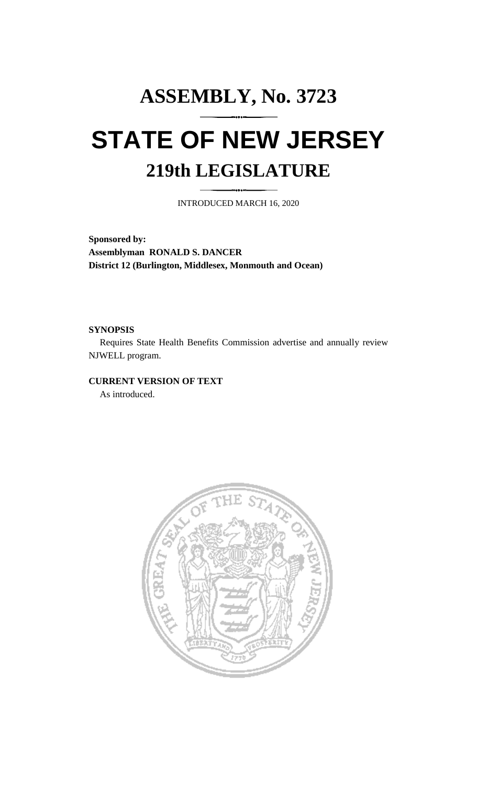# **ASSEMBLY, No. 3723 STATE OF NEW JERSEY 219th LEGISLATURE**

INTRODUCED MARCH 16, 2020

**Sponsored by: Assemblyman RONALD S. DANCER District 12 (Burlington, Middlesex, Monmouth and Ocean)**

## **SYNOPSIS**

Requires State Health Benefits Commission advertise and annually review NJWELL program.

# **CURRENT VERSION OF TEXT**

As introduced.

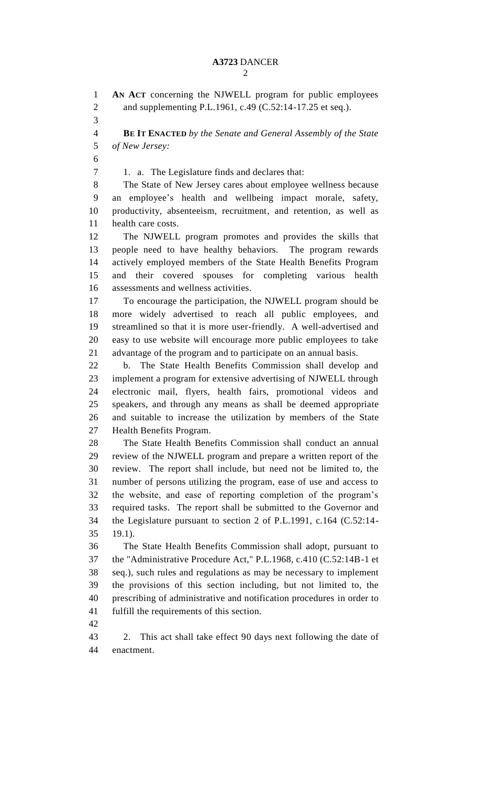**AN ACT** concerning the NJWELL program for public employees and supplementing P.L.1961, c.49 (C.52:14-17.25 et seq.). **BE IT ENACTED** *by the Senate and General Assembly of the State of New Jersey:* 1. a. The Legislature finds and declares that: The State of New Jersey cares about employee wellness because an employee's health and wellbeing impact morale, safety, productivity, absenteeism, recruitment, and retention, as well as health care costs. The NJWELL program promotes and provides the skills that people need to have healthy behaviors. The program rewards actively employed members of the State Health Benefits Program and their covered spouses for completing various health assessments and wellness activities. To encourage the participation, the NJWELL program should be more widely advertised to reach all public employees, and streamlined so that it is more user-friendly. A well-advertised and easy to use website will encourage more public employees to take advantage of the program and to participate on an annual basis. b. The State Health Benefits Commission shall develop and implement a program for extensive advertising of NJWELL through electronic mail, flyers, health fairs, promotional videos and speakers, and through any means as shall be deemed appropriate and suitable to increase the utilization by members of the State Health Benefits Program. The State Health Benefits Commission shall conduct an annual review of the NJWELL program and prepare a written report of the review. The report shall include, but need not be limited to, the number of persons utilizing the program, ease of use and access to the website, and ease of reporting completion of the program's required tasks. The report shall be submitted to the Governor and the Legislature pursuant to section 2 of P.L.1991, c.164 (C.52:14- 19.1). The State Health Benefits Commission shall adopt, pursuant to the "Administrative Procedure Act," P.L.1968, c.410 (C.52:14B-1 et seq.), such rules and regulations as may be necessary to implement the provisions of this section including, but not limited to, the prescribing of administrative and notification procedures in order to fulfill the requirements of this section. 2. This act shall take effect 90 days next following the date of

enactment.